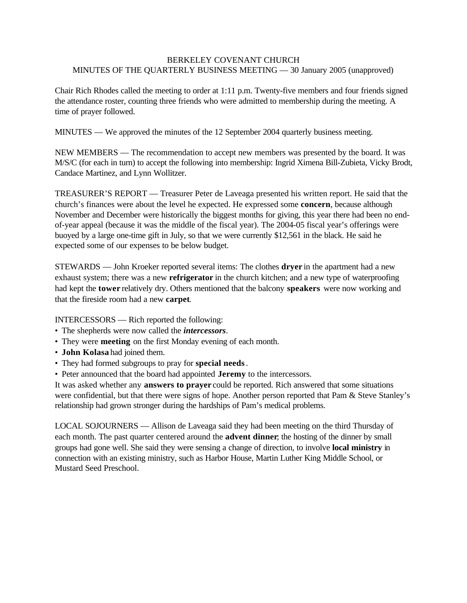## BERKELEY COVENANT CHURCH MINUTES OF THE QUARTERLY BUSINESS MEETING — 30 January 2005 (unapproved)

Chair Rich Rhodes called the meeting to order at 1:11 p.m. Twenty-five members and four friends signed the attendance roster, counting three friends who were admitted to membership during the meeting. A time of prayer followed.

MINUTES — We approved the minutes of the 12 September 2004 quarterly business meeting.

NEW MEMBERS — The recommendation to accept new members was presented by the board. It was M/S/C (for each in turn) to accept the following into membership: Ingrid Ximena Bill-Zubieta, Vicky Brodt, Candace Martinez, and Lynn Wollitzer.

TREASURER'S REPORT — Treasurer Peter de Laveaga presented his written report. He said that the church's finances were about the level he expected. He expressed some **concern**, because although November and December were historically the biggest months for giving, this year there had been no endof-year appeal (because it was the middle of the fiscal year). The 2004-05 fiscal year's offerings were buoyed by a large one-time gift in July, so that we were currently \$12,561 in the black. He said he expected some of our expenses to be below budget.

STEWARDS — John Kroeker reported several items: The clothes **dryer** in the apartment had a new exhaust system; there was a new **refrigerator** in the church kitchen; and a new type of waterproofing had kept the **tower** relatively dry. Others mentioned that the balcony **speakers** were now working and that the fireside room had a new **carpet**.

INTERCESSORS — Rich reported the following:

- The shepherds were now called the *intercessors*.
- They were **meeting** on the first Monday evening of each month.
- **John Kolasa** had joined them.
- They had formed subgroups to pray for **special needs**.
- Peter announced that the board had appointed **Jeremy** to the intercessors.

It was asked whether any **answers to prayer** could be reported. Rich answered that some situations were confidential, but that there were signs of hope. Another person reported that Pam & Steve Stanley's relationship had grown stronger during the hardships of Pam's medical problems.

LOCAL SOJOURNERS — Allison de Laveaga said they had been meeting on the third Thursday of each month. The past quarter centered around the **advent dinner**; the hosting of the dinner by small groups had gone well. She said they were sensing a change of direction, to involve **local ministry** in connection with an existing ministry, such as Harbor House, Martin Luther King Middle School, or Mustard Seed Preschool.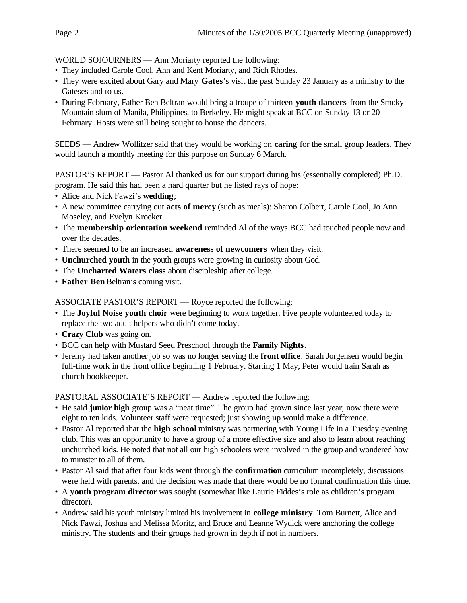WORLD SOJOURNERS — Ann Moriarty reported the following:

- They included Carole Cool, Ann and Kent Moriarty, and Rich Rhodes.
- They were excited about Gary and Mary **Gates**'s visit the past Sunday 23 January as a ministry to the Gateses and to us.
- During February, Father Ben Beltran would bring a troupe of thirteen **youth dancers** from the Smoky Mountain slum of Manila, Philippines, to Berkeley. He might speak at BCC on Sunday 13 or 20 February. Hosts were still being sought to house the dancers.

SEEDS — Andrew Wollitzer said that they would be working on **caring** for the small group leaders. They would launch a monthly meeting for this purpose on Sunday 6 March.

PASTOR'S REPORT — Pastor Al thanked us for our support during his (essentially completed) Ph.D. program. He said this had been a hard quarter but he listed rays of hope:

- Alice and Nick Fawzi's **wedding**;
- A new committee carrying out **acts of mercy** (such as meals): Sharon Colbert, Carole Cool, Jo Ann Moseley, and Evelyn Kroeker.
- The **membership orientation weekend** reminded Al of the ways BCC had touched people now and over the decades.
- There seemed to be an increased **awareness of newcomers** when they visit.
- **Unchurched youth** in the youth groups were growing in curiosity about God.
- The **Uncharted Waters class** about discipleship after college.
- **Father Ben** Beltran's coming visit.

ASSOCIATE PASTOR'S REPORT — Royce reported the following:

- The **Joyful Noise youth choir** were beginning to work together. Five people volunteered today to replace the two adult helpers who didn't come today.
- **Crazy Club** was going on.
- BCC can help with Mustard Seed Preschool through the **Family Nights**.
- Jeremy had taken another job so was no longer serving the **front office**. Sarah Jorgensen would begin full-time work in the front office beginning 1 February. Starting 1 May, Peter would train Sarah as church bookkeeper.

PASTORAL ASSOCIATE'S REPORT — Andrew reported the following:

- He said **junior high** group was a "neat time". The group had grown since last year; now there were eight to ten kids. Volunteer staff were requested; just showing up would make a difference.
- Pastor Al reported that the **high school** ministry was partnering with Young Life in a Tuesday evening club. This was an opportunity to have a group of a more effective size and also to learn about reaching unchurched kids. He noted that not all our high schoolers were involved in the group and wondered how to minister to all of them.
- Pastor Al said that after four kids went through the **confirmation** curriculum incompletely, discussions were held with parents, and the decision was made that there would be no formal confirmation this time.
- A **youth program director** was sought (somewhat like Laurie Fiddes's role as children's program director).
- Andrew said his youth ministry limited his involvement in **college ministry**. Tom Burnett, Alice and Nick Fawzi, Joshua and Melissa Moritz, and Bruce and Leanne Wydick were anchoring the college ministry. The students and their groups had grown in depth if not in numbers.